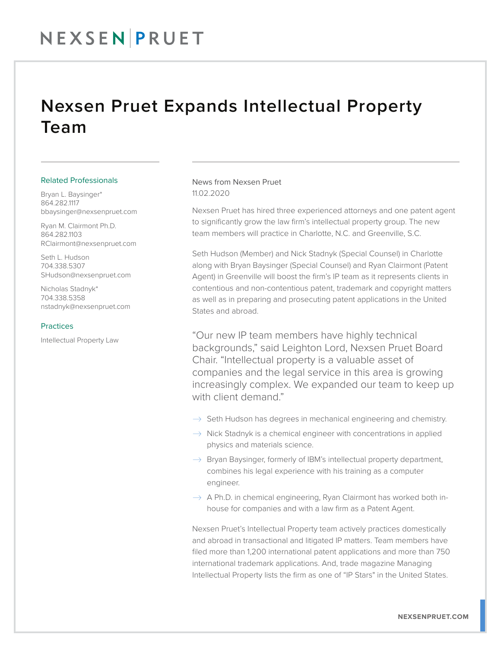## Nexsen Pruet Expands Intellectual Property Team

#### Related Professionals

Bryan L. Baysinger\* 864.282.1117 bbaysinger@nexsenpruet.com

Ryan M. Clairmont Ph.D. 864.282.1103 RClairmont@nexsenpruet.com

Seth L. Hudson 704.338.5307 SHudson@nexsenpruet.com

Nicholas Stadnyk\* 704.338.5358 nstadnyk@nexsenpruet.com

#### Practices

Intellectual Property Law

### News from Nexsen Pruet 11.02.2020

Nexsen Pruet has hired three experienced attorneys and one patent agent to significantly grow the law firm's intellectual property group. The new team members will practice in Charlotte, N.C. and Greenville, S.C.

Seth Hudson (Member) and Nick Stadnyk (Special Counsel) in Charlotte along with Bryan Baysinger (Special Counsel) and Ryan Clairmont (Patent Agent) in Greenville will boost the firm's IP team as it represents clients in contentious and non-contentious patent, trademark and copyright matters as well as in preparing and prosecuting patent applications in the United States and abroad.

"Our new IP team members have highly technical backgrounds," said Leighton Lord, Nexsen Pruet Board Chair. "Intellectual property is a valuable asset of companies and the legal service in this area is growing increasingly complex. We expanded our team to keep up with client demand."

- $\rightarrow$  Seth Hudson has degrees in mechanical engineering and chemistry.
- $\rightarrow$  Nick Stadnyk is a chemical engineer with concentrations in applied physics and materials science.
- $\rightarrow$  Bryan Baysinger, formerly of IBM's intellectual property department, combines his legal experience with his training as a computer engineer.
- $\rightarrow$  A Ph.D. in chemical engineering, Ryan Clairmont has worked both inhouse for companies and with a law firm as a Patent Agent.

Nexsen Pruet's Intellectual Property team actively practices domestically and abroad in transactional and litigated IP matters. Team members have filed more than 1,200 international patent applications and more than 750 international trademark applications. And, trade magazine Managing Intellectual Property lists the firm as one of "IP Stars" in the United States.